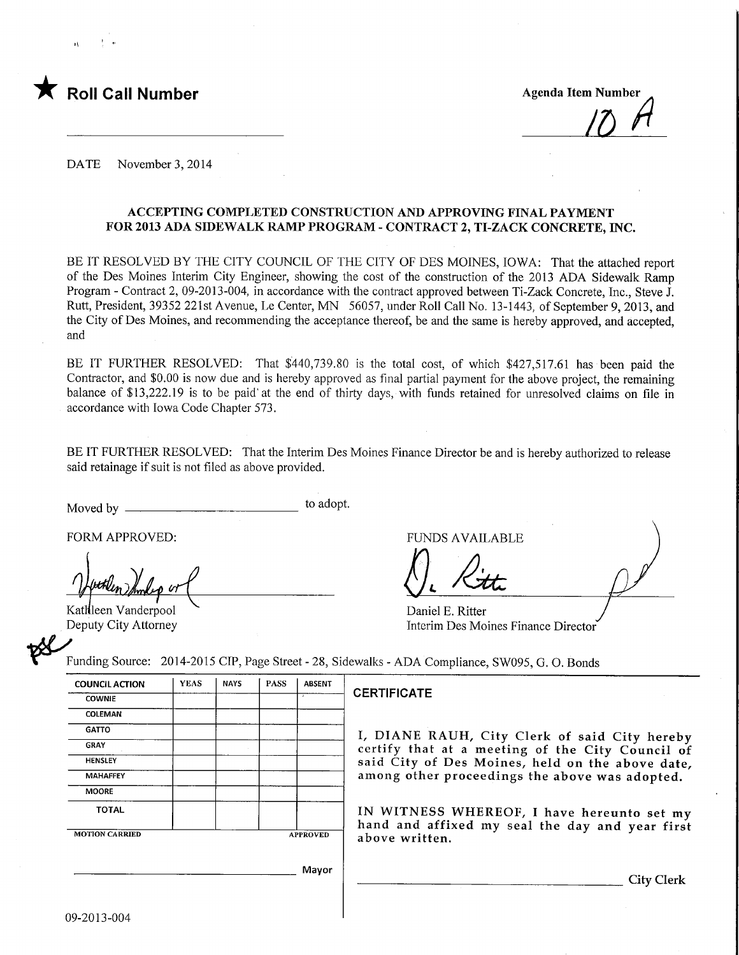

 $17$  $A$ 

DATE November 3, 2014

### ACCEPTING COMPLETED CONSTRUCTION AND APPROVING FINAL PAYMENT FOR 2013 ADA SIDEWALK RAMP PROGRAM - CONTRACT 2, TI-ZACK CONCRETE, INC.

BE IT RESOLVED BY THE CITY COUNCIL OF THE CITY OF DES MOINES, IOWA: That the attached report of the Des Moines Interim City Engineer, showing the cost of the construction of the 2013 ADA Sidewalk Ramp Program - Contract 2, 09-2013-004, in accordance with the contract approved between Ti-Zack Concrete, Inc., Steve J. Rutt, President, 39352 221st Avenue, Le Center, MN 56057, under Roll Call No. 13-1443, of September 9, 2013, and the City of Des Moines, and recommending the acceptance thereof, be and the same is hereby approved, and accepted, and

BE IT FURTHER RESOLVED: That \$440,739.80 is the total cost, of which \$427,517.61 has been paid the Contractor, and \$0.00 is now due and is hereby approved as final partial payment for the above project, the remaining balance of \$13,222.19 is to be paid'at the end of thirty days, with funds retained for unresolved claims on file in accordance with Iowa Code Chapter 573.

BE IT FURTHER RESOLVED: That the Interim Des Moines Finance Director be and is hereby authorized to release said retainage if suit is not filed as above provided.

Moved by to adopt.

FORM APPROVED:<br>and the set of the set of the set of the set of the set of the set of the set of the set of the set of the set of the set of the set of the set of the set of the set of the set of the set of the set of the s

Kathleen Vanderpool Deputy City Attorney

Daniel E. Ritter Interim Des Moines Finance Director

Funding Source: 2014-2015 CIP, Page Street - 28, Sidewalks - ADA Compliance, SW095, G. 0. Bonds

| <b>COUNCIL ACTION</b> | <b>YEAS</b> | <b>NAYS</b> | <b>PASS</b>     | <b>ABSENT</b> |  |  |
|-----------------------|-------------|-------------|-----------------|---------------|--|--|
| <b>COWNIE</b>         |             |             |                 | ×             |  |  |
| COLEMAN               |             |             |                 |               |  |  |
| <b>GATTO</b>          |             |             |                 |               |  |  |
| <b>GRAY</b>           |             |             |                 |               |  |  |
| <b>HENSLEY</b>        |             |             |                 |               |  |  |
| <b>MAHAFFEY</b>       |             |             |                 |               |  |  |
| <b>MOORE</b>          |             |             |                 |               |  |  |
| <b>TOTAL</b>          |             |             |                 |               |  |  |
| <b>MOTION CARRIED</b> |             |             | <b>APPROVED</b> |               |  |  |

#### **CERTIFICATE**

I, DIANE RAUH, City Clerk of said City hereby certify that at a meeting of the City Council of said City of Des Moines, held on the above date, among other proceedings the above was adopted.

IN WITNESS WHEREOF, I have hereunto set my hand and affixed my seal the day and year first above written.

Mayor

City Clerk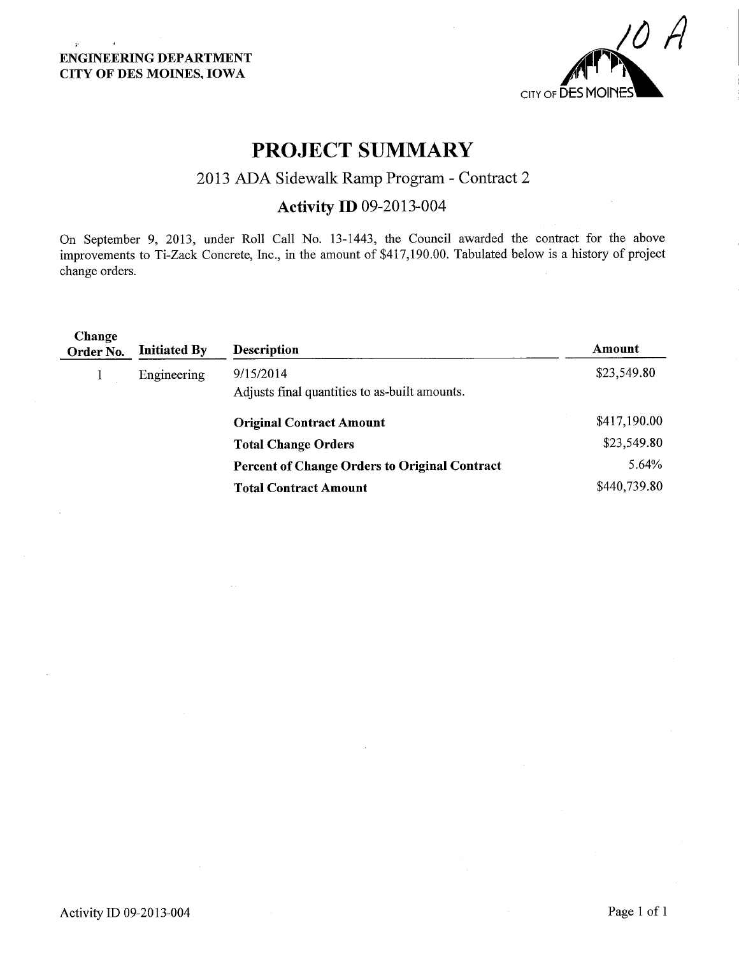$\mathbf{p}^{\prime}$ 

 $\mathbf{A}$ 



# PROJECT SUMMARY

## 2013 ADA Sidewalk Ramp Program - Contract 2

## Activity ID 09-2013-004

On September 9, 2013, under Roll Call No. 13-1443, the Council awarded the contract for the above improvements to Ti-Zack Concrete, Inc., in the amount of \$417,190.00. Tabulated below is a history of project change orders.

| Change<br>Order No. | <b>Initiated By</b> | <b>Description</b>                                         | Amount       |
|---------------------|---------------------|------------------------------------------------------------|--------------|
|                     | Engineering         | 9/15/2014<br>Adjusts final quantities to as-built amounts. | \$23,549.80  |
|                     |                     | <b>Original Contract Amount</b>                            | \$417,190.00 |
|                     |                     | <b>Total Change Orders</b>                                 | \$23,549.80  |
|                     |                     | <b>Percent of Change Orders to Original Contract</b>       | 5.64%        |
|                     |                     | <b>Total Contract Amount</b>                               | \$440,739.80 |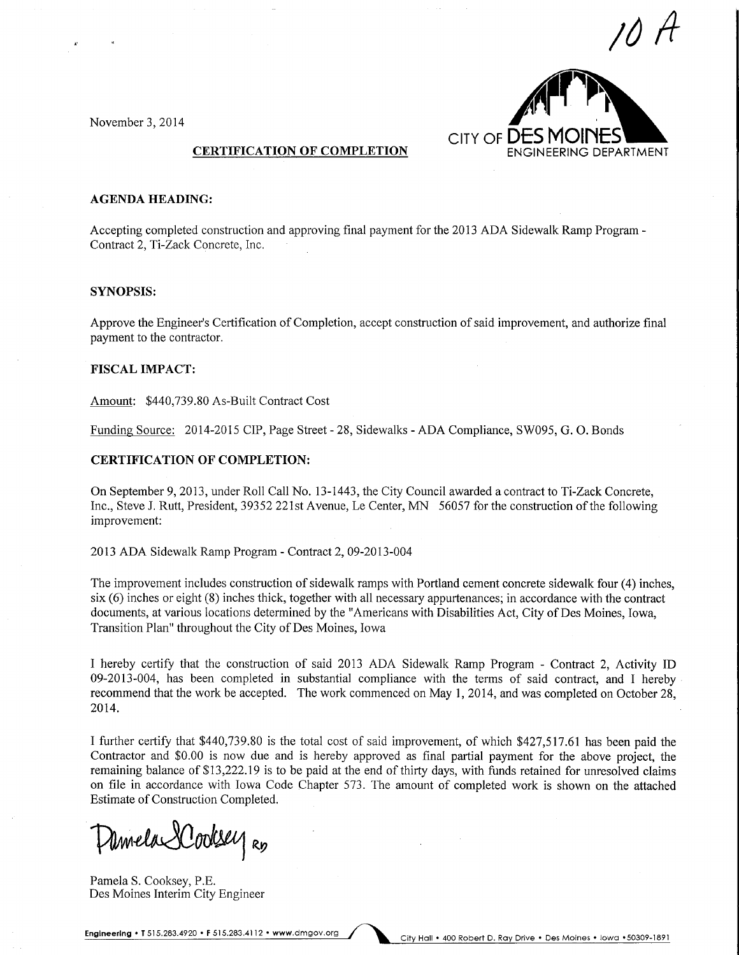10 A



November 3, 2014

#### AGENDA HEADING:

Accepting completed construction and approving final payment for the 2013 ADA Sidewalk Ramp Program - Contract 2, Ti-Zack Concrete, Inc.

#### SYNOPSIS:

Approve the Engineer's Certification of Completion, accept construction of said improvement, and authorize final payment to the contractor.

#### FISCAL IMPACT:

Amount: \$440,739.80 As-Built Contract Cost

Funding Source: 2014-2015 CIP, Page Street - 28, Sidewalks - ADA Compliance, SW095, G. 0. Bonds

#### CERTIFICATION OF COMPLETION:

On September 9, 2013, under Roll Call No. 13-1443, the City Council awarded a contract to Ti-Zack Concrete, Inc., Steve J. Rutt, President, 39352 221st Avenue, Le Center, MN 56057 for the constmction of the following improvement:

2013 ADA Sidewalk Ramp Program - Contract 2, 09-2013-004

The improvement includes construction of sidewalk ramps with Portland cement concrete sidewalk four (4) inches, six (6) inches or eight (8) inches thick, together with all necessary appurtenances; in accordance with the contract documents, at various locations determined by the "Americans with Disabilities Act, City of Des Moines, Iowa, Transition Plan" throughout the City of Des Moines, Iowa

I hereby certify that the construction of said 2013 ADA Sidewalk Ramp Program - Contract 2, Activity ID 09-2013-004, has been completed in substantial compliance with the terms of said contract, and I hereby recommend that the work be accepted. The work commenced on May 1, 2014, and was completed on October 28, 2014.

I further certify that \$440,739.80 is the total cost of said improvement, of which \$427,517.61 has been paid the Contractor and \$0.00 is now due and is hereby approved as final partial payment for the above project, the remaining balance of \$13,222.19 is to be paid at the end of thirty days, with funds retained for unresolved claims on file in accordance with Iowa Code Chapter 573. The amount of completed work is shown on the attached Estimate of Construction Completed.

Umela XCooksey Ro

Pamela S. Cooksey, P.E. Des Moines Interim City Engineer